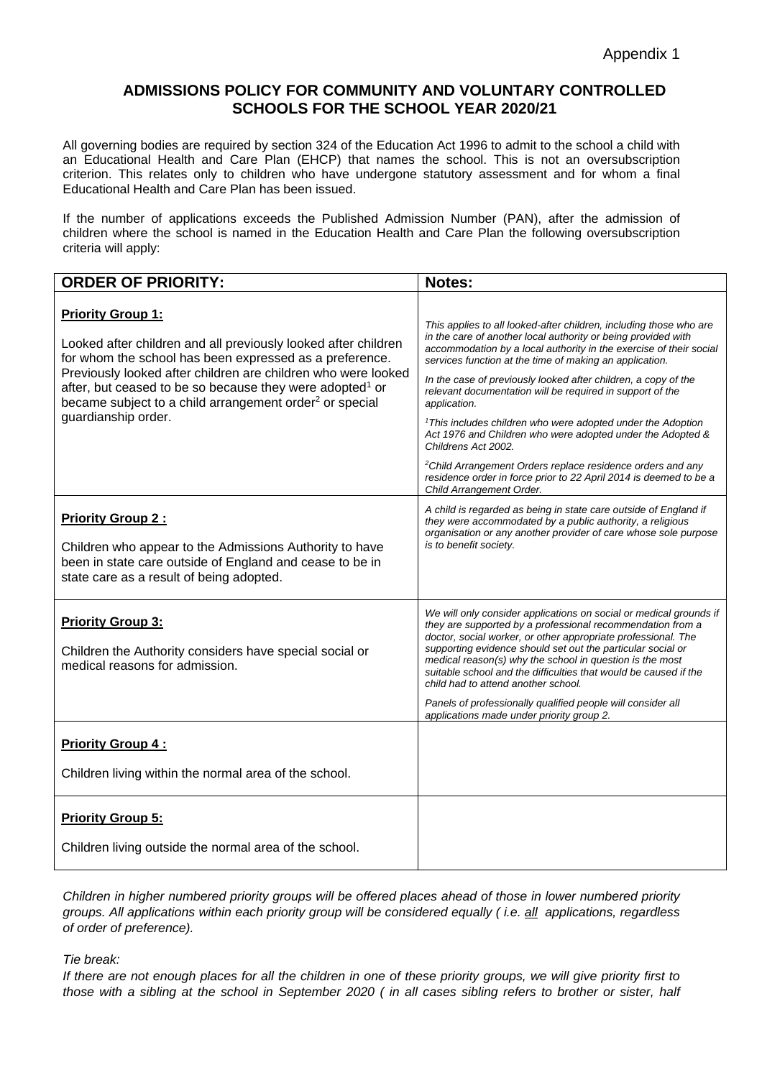# **ADMISSIONS POLICY FOR COMMUNITY AND VOLUNTARY CONTROLLED SCHOOLS FOR THE SCHOOL YEAR 2020/21**

All governing bodies are required by section 324 of the Education Act 1996 to admit to the school a child with an Educational Health and Care Plan (EHCP) that names the school. This is not an oversubscription criterion. This relates only to children who have undergone statutory assessment and for whom a final Educational Health and Care Plan has been issued.

If the number of applications exceeds the Published Admission Number (PAN), after the admission of children where the school is named in the Education Health and Care Plan the following oversubscription criteria will apply:

| <b>ORDER OF PRIORITY:</b>                                                                                                                                                                                                                                                                                                                                                                    | Notes:                                                                                                                                                                                                                                                                                                                                                                                                                                                                                                                                                                                                                                                                                                                                                         |
|----------------------------------------------------------------------------------------------------------------------------------------------------------------------------------------------------------------------------------------------------------------------------------------------------------------------------------------------------------------------------------------------|----------------------------------------------------------------------------------------------------------------------------------------------------------------------------------------------------------------------------------------------------------------------------------------------------------------------------------------------------------------------------------------------------------------------------------------------------------------------------------------------------------------------------------------------------------------------------------------------------------------------------------------------------------------------------------------------------------------------------------------------------------------|
| <b>Priority Group 1:</b><br>Looked after children and all previously looked after children<br>for whom the school has been expressed as a preference.<br>Previously looked after children are children who were looked<br>after, but ceased to be so because they were adopted <sup>1</sup> or<br>became subject to a child arrangement order <sup>2</sup> or special<br>guardianship order. | This applies to all looked-after children, including those who are<br>in the care of another local authority or being provided with<br>accommodation by a local authority in the exercise of their social<br>services function at the time of making an application.<br>In the case of previously looked after children, a copy of the<br>relevant documentation will be required in support of the<br>application.<br><sup>1</sup> This includes children who were adopted under the Adoption<br>Act 1976 and Children who were adopted under the Adopted &<br>Childrens Act 2002.<br><sup>2</sup> Child Arrangement Orders replace residence orders and any<br>residence order in force prior to 22 April 2014 is deemed to be a<br>Child Arrangement Order. |
| <b>Priority Group 2:</b><br>Children who appear to the Admissions Authority to have<br>been in state care outside of England and cease to be in<br>state care as a result of being adopted.                                                                                                                                                                                                  | A child is regarded as being in state care outside of England if<br>they were accommodated by a public authority, a religious<br>organisation or any another provider of care whose sole purpose<br>is to benefit society.                                                                                                                                                                                                                                                                                                                                                                                                                                                                                                                                     |
| <b>Priority Group 3:</b><br>Children the Authority considers have special social or<br>medical reasons for admission.                                                                                                                                                                                                                                                                        | We will only consider applications on social or medical grounds if<br>they are supported by a professional recommendation from a<br>doctor, social worker, or other appropriate professional. The<br>supporting evidence should set out the particular social or<br>medical reason(s) why the school in question is the most<br>suitable school and the difficulties that would be caused if the<br>child had to attend another school.<br>Panels of professionally qualified people will consider all<br>applications made under priority group 2.                                                                                                                                                                                                            |
| Priority Group 4:<br>Children living within the normal area of the school.                                                                                                                                                                                                                                                                                                                   |                                                                                                                                                                                                                                                                                                                                                                                                                                                                                                                                                                                                                                                                                                                                                                |
| <b>Priority Group 5:</b><br>Children living outside the normal area of the school.                                                                                                                                                                                                                                                                                                           |                                                                                                                                                                                                                                                                                                                                                                                                                                                                                                                                                                                                                                                                                                                                                                |

*Children in higher numbered priority groups will be offered places ahead of those in lower numbered priority groups. All applications within each priority group will be considered equally ( i.e. all applications, regardless of order of preference).* 

*Tie break:* 

*If there are not enough places for all the children in one of these priority groups, we will give priority first to those with a sibling at the school in September 2020 ( in all cases sibling refers to brother or sister, half*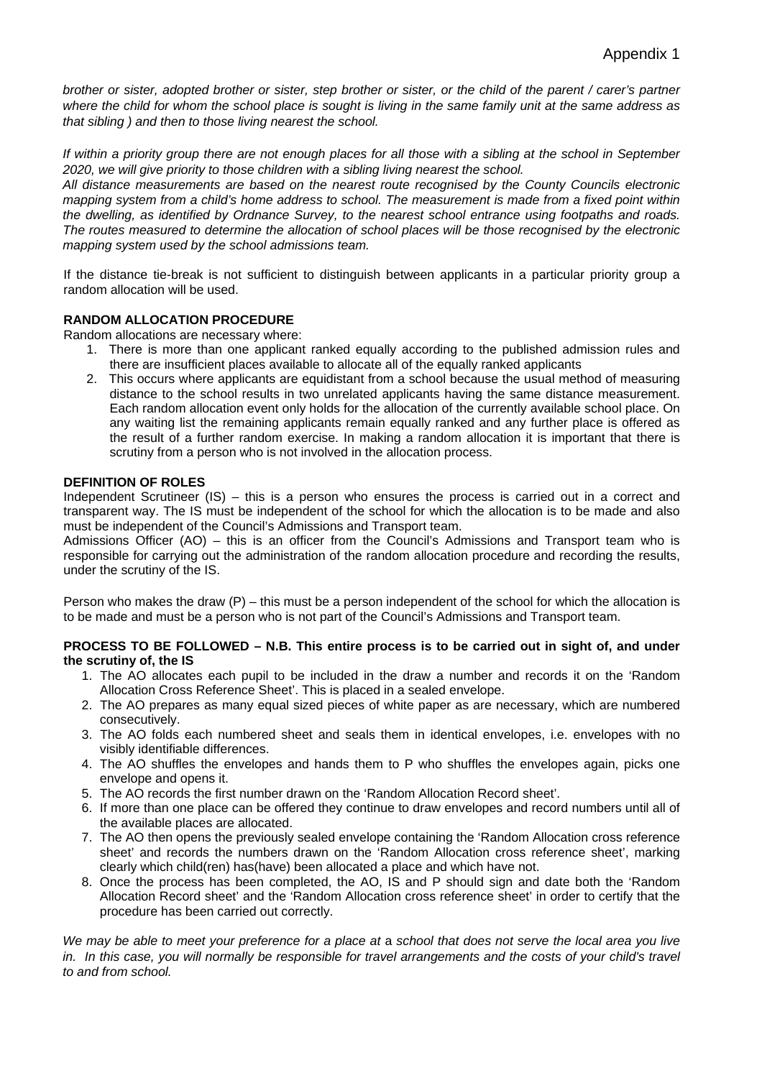*brother or sister, adopted brother or sister, step brother or sister, or the child of the parent / carer's partner where the child for whom the school place is sought is living in the same family unit at the same address as that sibling ) and then to those living nearest the school.* 

*If within a priority group there are not enough places for all those with a sibling at the school in September 2020, we will give priority to those children with a sibling living nearest the school.* 

*All distance measurements are based on the nearest route recognised by the County Councils electronic mapping system from a child's home address to school. The measurement is made from a fixed point within the dwelling, as identified by Ordnance Survey, to the nearest school entrance using footpaths and roads. The routes measured to determine the allocation of school places will be those recognised by the electronic mapping system used by the school admissions team.* 

If the distance tie-break is not sufficient to distinguish between applicants in a particular priority group a random allocation will be used.

# **RANDOM ALLOCATION PROCEDURE**

Random allocations are necessary where:

- 1. There is more than one applicant ranked equally according to the published admission rules and there are insufficient places available to allocate all of the equally ranked applicants
- 2. This occurs where applicants are equidistant from a school because the usual method of measuring distance to the school results in two unrelated applicants having the same distance measurement. Each random allocation event only holds for the allocation of the currently available school place. On any waiting list the remaining applicants remain equally ranked and any further place is offered as the result of a further random exercise. In making a random allocation it is important that there is scrutiny from a person who is not involved in the allocation process.

# **DEFINITION OF ROLES**

Independent Scrutineer (IS) – this is a person who ensures the process is carried out in a correct and transparent way. The IS must be independent of the school for which the allocation is to be made and also must be independent of the Council's Admissions and Transport team.

Admissions Officer (AO) – this is an officer from the Council's Admissions and Transport team who is responsible for carrying out the administration of the random allocation procedure and recording the results, under the scrutiny of the IS.

Person who makes the draw (P) – this must be a person independent of the school for which the allocation is to be made and must be a person who is not part of the Council's Admissions and Transport team.

#### **PROCESS TO BE FOLLOWED – N.B. This entire process is to be carried out in sight of, and under the scrutiny of, the IS**

- 1. The AO allocates each pupil to be included in the draw a number and records it on the 'Random Allocation Cross Reference Sheet'. This is placed in a sealed envelope.
- 2. The AO prepares as many equal sized pieces of white paper as are necessary, which are numbered consecutively.
- 3. The AO folds each numbered sheet and seals them in identical envelopes, i.e. envelopes with no visibly identifiable differences.
- 4. The AO shuffles the envelopes and hands them to P who shuffles the envelopes again, picks one envelope and opens it.
- 5. The AO records the first number drawn on the 'Random Allocation Record sheet'.
- 6. If more than one place can be offered they continue to draw envelopes and record numbers until all of the available places are allocated.
- 7. The AO then opens the previously sealed envelope containing the 'Random Allocation cross reference sheet' and records the numbers drawn on the 'Random Allocation cross reference sheet', marking clearly which child(ren) has(have) been allocated a place and which have not.
- 8. Once the process has been completed, the AO, IS and P should sign and date both the 'Random Allocation Record sheet' and the 'Random Allocation cross reference sheet' in order to certify that the procedure has been carried out correctly.

*We may be able to meet your preference for a place at* a *school that does not serve the local area you live*  in. In this case, you will normally be responsible for travel arrangements and the costs of your child's travel *to and from school.*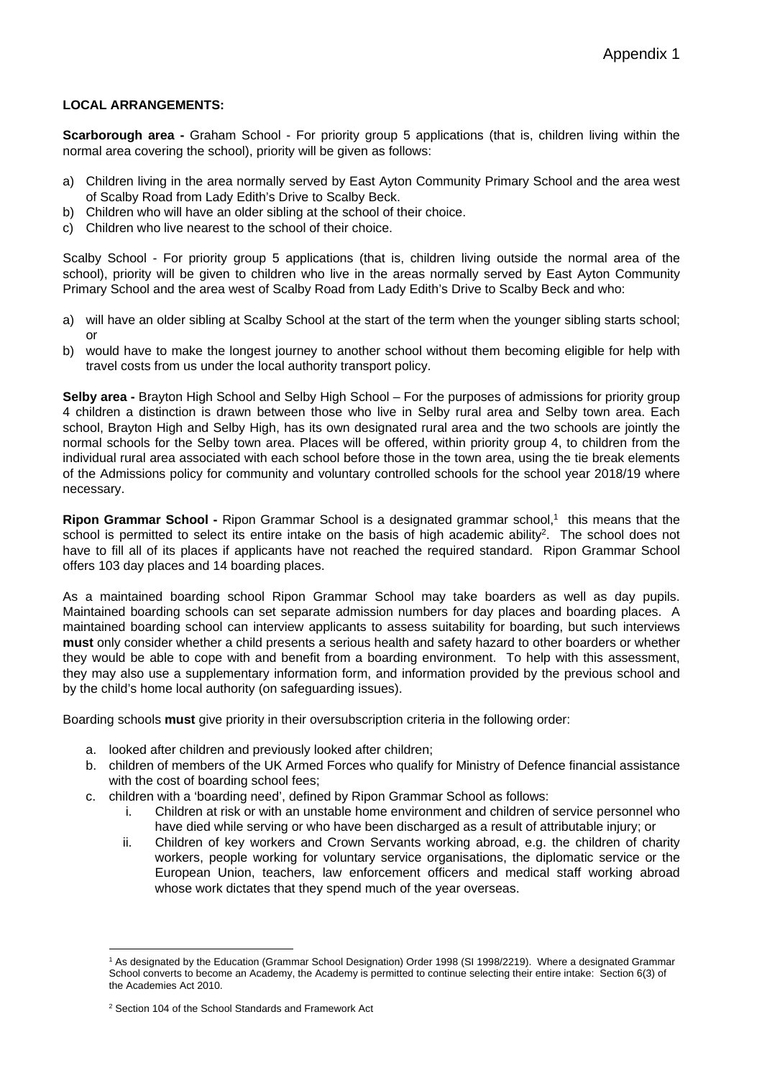# **LOCAL ARRANGEMENTS:**

**Scarborough area -** Graham School - For priority group 5 applications (that is, children living within the normal area covering the school), priority will be given as follows:

- a) Children living in the area normally served by East Ayton Community Primary School and the area west of Scalby Road from Lady Edith's Drive to Scalby Beck.
- b) Children who will have an older sibling at the school of their choice.
- c) Children who live nearest to the school of their choice.

Scalby School - For priority group 5 applications (that is, children living outside the normal area of the school), priority will be given to children who live in the areas normally served by East Ayton Community Primary School and the area west of Scalby Road from Lady Edith's Drive to Scalby Beck and who:

- a) will have an older sibling at Scalby School at the start of the term when the younger sibling starts school; or
- b) would have to make the longest journey to another school without them becoming eligible for help with travel costs from us under the local authority transport policy.

**Selby area -** Brayton High School and Selby High School – For the purposes of admissions for priority group 4 children a distinction is drawn between those who live in Selby rural area and Selby town area. Each school, Brayton High and Selby High, has its own designated rural area and the two schools are jointly the normal schools for the Selby town area. Places will be offered, within priority group 4, to children from the individual rural area associated with each school before those in the town area, using the tie break elements of the Admissions policy for community and voluntary controlled schools for the school year 2018/19 where necessary.

**Ripon Grammar School - Ripon Grammar School is a designated grammar school,<sup>1</sup> this means that the** school is permitted to select its entire intake on the basis of high academic ability<sup>2</sup>. The school does not have to fill all of its places if applicants have not reached the required standard. Ripon Grammar School offers 103 day places and 14 boarding places.

As a maintained boarding school Ripon Grammar School may take boarders as well as day pupils. Maintained boarding schools can set separate admission numbers for day places and boarding places. A maintained boarding school can interview applicants to assess suitability for boarding, but such interviews **must** only consider whether a child presents a serious health and safety hazard to other boarders or whether they would be able to cope with and benefit from a boarding environment. To help with this assessment, they may also use a supplementary information form, and information provided by the previous school and by the child's home local authority (on safeguarding issues).

Boarding schools **must** give priority in their oversubscription criteria in the following order:

- a. looked after children and previously looked after children;
- b. children of members of the UK Armed Forces who qualify for Ministry of Defence financial assistance with the cost of boarding school fees;
- c. children with a 'boarding need', defined by Ripon Grammar School as follows:
	- i. Children at risk or with an unstable home environment and children of service personnel who have died while serving or who have been discharged as a result of attributable injury; or
	- ii. Children of key workers and Crown Servants working abroad, e.g. the children of charity workers, people working for voluntary service organisations, the diplomatic service or the European Union, teachers, law enforcement officers and medical staff working abroad whose work dictates that they spend much of the year overseas.

l

<sup>1</sup> As designated by the Education (Grammar School Designation) Order 1998 (SI 1998/2219). Where a designated Grammar School converts to become an Academy, the Academy is permitted to continue selecting their entire intake: Section 6(3) of the Academies Act 2010.

<sup>&</sup>lt;sup>2</sup> Section 104 of the School Standards and Framework Act